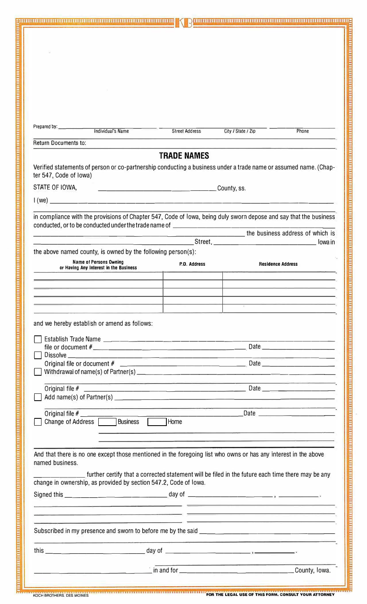|                                                                                                                                                                                                       | <b>Street Address</b>                                                                                                  | City / State / Zip<br><b>Phone</b>                                                                                                                                                                                                   |  |
|-------------------------------------------------------------------------------------------------------------------------------------------------------------------------------------------------------|------------------------------------------------------------------------------------------------------------------------|--------------------------------------------------------------------------------------------------------------------------------------------------------------------------------------------------------------------------------------|--|
| Return Documents to:                                                                                                                                                                                  |                                                                                                                        |                                                                                                                                                                                                                                      |  |
|                                                                                                                                                                                                       | <b>TRADE NAMES</b>                                                                                                     |                                                                                                                                                                                                                                      |  |
| Verified statements of person or co-partnership conducting a business under a trade name or assumed name. (Chap-<br>ter 547, Code of Iowa)                                                            |                                                                                                                        |                                                                                                                                                                                                                                      |  |
| STATE OF IOWA.                                                                                                                                                                                        | <u> 2000 - Jan James Barnett, mars et al. (</u><br>County, ss.                                                         |                                                                                                                                                                                                                                      |  |
|                                                                                                                                                                                                       |                                                                                                                        |                                                                                                                                                                                                                                      |  |
|                                                                                                                                                                                                       |                                                                                                                        |                                                                                                                                                                                                                                      |  |
| in compliance with the provisions of Chapter 547, Code of lowa, being duly sworn depose and say that the business<br>conducted, or to be conducted under the trade name of __________________________ |                                                                                                                        |                                                                                                                                                                                                                                      |  |
|                                                                                                                                                                                                       |                                                                                                                        | the business address of which is                                                                                                                                                                                                     |  |
|                                                                                                                                                                                                       |                                                                                                                        | lowa in                                                                                                                                                                                                                              |  |
| the above named county, is owned by the following person(s):                                                                                                                                          |                                                                                                                        |                                                                                                                                                                                                                                      |  |
| Name of Persons Owning<br>or Having Any Interest in the Business                                                                                                                                      | P.O. Address                                                                                                           | <b>Residence Address</b>                                                                                                                                                                                                             |  |
|                                                                                                                                                                                                       |                                                                                                                        |                                                                                                                                                                                                                                      |  |
|                                                                                                                                                                                                       |                                                                                                                        |                                                                                                                                                                                                                                      |  |
|                                                                                                                                                                                                       |                                                                                                                        | the contract of the contract of the contract of                                                                                                                                                                                      |  |
|                                                                                                                                                                                                       |                                                                                                                        |                                                                                                                                                                                                                                      |  |
| and we hereby establish or amend as follows:                                                                                                                                                          |                                                                                                                        |                                                                                                                                                                                                                                      |  |
|                                                                                                                                                                                                       |                                                                                                                        |                                                                                                                                                                                                                                      |  |
|                                                                                                                                                                                                       |                                                                                                                        |                                                                                                                                                                                                                                      |  |
|                                                                                                                                                                                                       |                                                                                                                        |                                                                                                                                                                                                                                      |  |
|                                                                                                                                                                                                       |                                                                                                                        |                                                                                                                                                                                                                                      |  |
|                                                                                                                                                                                                       | <u> 1980 - Andrej Starten, martin de Alexander eta Andrej Alexander eta Andrej Alexander eta Andrej Alexander e</u> ta |                                                                                                                                                                                                                                      |  |
|                                                                                                                                                                                                       |                                                                                                                        |                                                                                                                                                                                                                                      |  |
|                                                                                                                                                                                                       |                                                                                                                        |                                                                                                                                                                                                                                      |  |
| Change of Address   Business                                                                                                                                                                          | Home                                                                                                                   |                                                                                                                                                                                                                                      |  |
|                                                                                                                                                                                                       |                                                                                                                        |                                                                                                                                                                                                                                      |  |
|                                                                                                                                                                                                       |                                                                                                                        | <u> 1980 - Jan Barat, maria mendebat dan berasal dan berasal dari personal dan berasal dari berasal dan berasal d</u>                                                                                                                |  |
| And that there is no one except those mentioned in the foregoing list who owns or has any interest in the above                                                                                       |                                                                                                                        |                                                                                                                                                                                                                                      |  |
| named business.                                                                                                                                                                                       |                                                                                                                        |                                                                                                                                                                                                                                      |  |
|                                                                                                                                                                                                       |                                                                                                                        | further certify that a corrected statement will be filed in the future each time there may be any                                                                                                                                    |  |
|                                                                                                                                                                                                       |                                                                                                                        |                                                                                                                                                                                                                                      |  |
|                                                                                                                                                                                                       |                                                                                                                        |                                                                                                                                                                                                                                      |  |
|                                                                                                                                                                                                       |                                                                                                                        |                                                                                                                                                                                                                                      |  |
|                                                                                                                                                                                                       |                                                                                                                        | <u> 1980 - John Harry Harry Holland and Harry Holland and Harry Holland and Harry Holland and Harry Holland and Harry Holland and Harry Holland and Harry Holland and Harry Holland and Harry Holland and Harry Holland and Harr</u> |  |
|                                                                                                                                                                                                       |                                                                                                                        |                                                                                                                                                                                                                                      |  |
|                                                                                                                                                                                                       |                                                                                                                        |                                                                                                                                                                                                                                      |  |
| change in ownership, as provided by section 547.2, Code of Iowa.<br>this.<br>day of                                                                                                                   |                                                                                                                        |                                                                                                                                                                                                                                      |  |

k

<u>Заполно поставления поставления поставления поставления поставления поставления поставления поставления поставления</u>